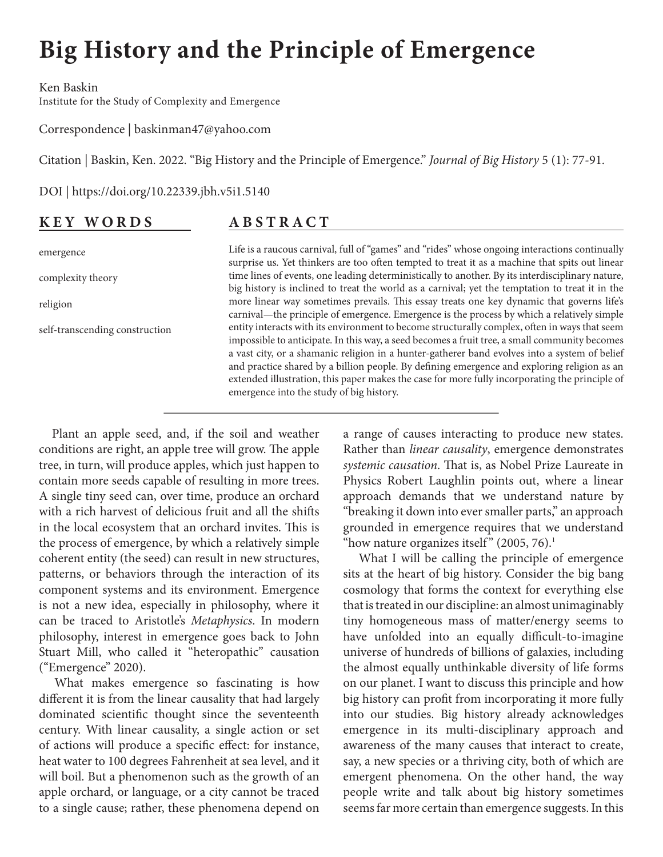# <span id="page-0-0"></span>**Big History and the Principle of Emergence**

Ken Baskin Institute for the Study of Complexity and Emergence

Correspondence | baskinman47@yahoo.com

Citation | Baskin, Ken. 2022. "Big History and the Principle of Emergence." *Journal of Big History* 5 (1): 77-91.

DOI | https://doi.org/10.22339.jbh.v5i1.5140

## **KEY WORDS**

**ABSTRACT**

emergence complexity theory religion self-transcending construction Life is a raucous carnival, full of "games" and "rides" whose ongoing interactions continually surprise us. Yet thinkers are too often tempted to treat it as a machine that spits out linear time lines of events, one leading deterministically to another. By its interdisciplinary nature, big history is inclined to treat the world as a carnival; yet the temptation to treat it in the more linear way sometimes prevails. This essay treats one key dynamic that governs life's carnival—the principle of emergence. Emergence is the process by which a relatively simple entity interacts with its environment to become structurally complex, often in ways that seem impossible to anticipate. In this way, a seed becomes a fruit tree, a small community becomes a vast city, or a shamanic religion in a hunter-gatherer band evolves into a system of belief and practice shared by a billion people. By defining emergence and exploring religion as an extended illustration, this paper makes the case for more fully incorporating the principle of emergence into the study of big history.

Plant an apple seed, and, if the soil and weather conditions are right, an apple tree will grow. The apple tree, in turn, will produce apples, which just happen to contain more seeds capable of resulting in more trees. A single tiny seed can, over time, produce an orchard with a rich harvest of delicious fruit and all the shifts in the local ecosystem that an orchard invites. This is the process of emergence, by which a relatively simple coherent entity (the seed) can result in new structures, patterns, or behaviors through the interaction of its component systems and its environment. Emergence is not a new idea, especially in philosophy, where it can be traced to Aristotle's *Metaphysics*. In modern philosophy, interest in emergence goes back to John Stuart Mill, who called it "heteropathic" causation ("Emergence" 2020).

What makes emergence so fascinating is how different it is from the linear causality that had largely dominated scientific thought since the seventeenth century. With linear causality, a single action or set of actions will produce a specific effect: for instance, heat water to 100 degrees Fahrenheit at sea level, and it will boil. But a phenomenon such as the growth of an apple orchard, or language, or a city cannot be traced to a single cause; rather, these phenomena depend on

a range of causes interacting to produce new states. Rather than *linear causality*, emergence demonstrates *systemic causation*. That is, as Nobel Prize Laureate in Physics Robert Laughlin points out, where a linear approach demands that we understand nature by "breaking it down into ever smaller parts," an approach grounded in emergence requires that we understand "how nature organizes itself"  $(2005, 76)$ .<sup>[1](#page-12-0)</sup>

What I will be calling the principle of emergence sits at the heart of big history. Consider the big bang cosmology that forms the context for everything else that is treated in our discipline: an almost unimaginably tiny homogeneous mass of matter/energy seems to have unfolded into an equally difficult-to-imagine universe of hundreds of billions of galaxies, including the almost equally unthinkable diversity of life forms on our planet. I want to discuss this principle and how big history can profit from incorporating it more fully into our studies. Big history already acknowledges emergence in its multi-disciplinary approach and awareness of the many causes that interact to create, say, a new species or a thriving city, both of which are emergent phenomena. On the other hand, the way people write and talk about big history sometimes seems far more certain than emergence suggests. In this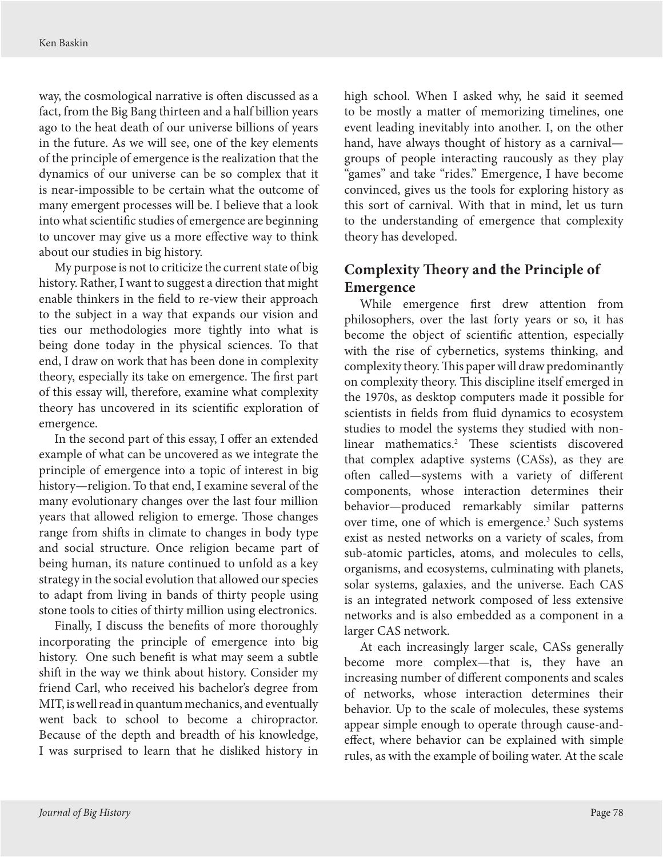<span id="page-1-0"></span>way, the cosmological narrative is often discussed as a fact, from the Big Bang thirteen and a half billion years ago to the heat death of our universe billions of years in the future. As we will see, one of the key elements of the principle of emergence is the realization that the dynamics of our universe can be so complex that it is near-impossible to be certain what the outcome of many emergent processes will be. I believe that a look into what scientific studies of emergence are beginning to uncover may give us a more effective way to think about our studies in big history.

My purpose is not to criticize the current state of big history. Rather, I want to suggest a direction that might enable thinkers in the field to re-view their approach to the subject in a way that expands our vision and ties our methodologies more tightly into what is being done today in the physical sciences. To that end, I draw on work that has been done in complexity theory, especially its take on emergence. The first part of this essay will, therefore, examine what complexity theory has uncovered in its scientific exploration of emergence.

In the second part of this essay, I offer an extended example of what can be uncovered as we integrate the principle of emergence into a topic of interest in big history—religion. To that end, I examine several of the many evolutionary changes over the last four million years that allowed religion to emerge. Those changes range from shifts in climate to changes in body type and social structure. Once religion became part of being human, its nature continued to unfold as a key strategy in the social evolution that allowed our species to adapt from living in bands of thirty people using stone tools to cities of thirty million using electronics.

Finally, I discuss the benefits of more thoroughly incorporating the principle of emergence into big history. One such benefit is what may seem a subtle shift in the way we think about history. Consider my friend Carl, who received his bachelor's degree from MIT, is well read in quantum mechanics, and eventually went back to school to become a chiropractor. Because of the depth and breadth of his knowledge, I was surprised to learn that he disliked history in

high school. When I asked why, he said it seemed to be mostly a matter of memorizing timelines, one event leading inevitably into another. I, on the other hand, have always thought of history as a carnival groups of people interacting raucously as they play "games" and take "rides." Emergence, I have become convinced, gives us the tools for exploring history as this sort of carnival. With that in mind, let us turn to the understanding of emergence that complexity theory has developed.

# **Complexity Theory and the Principle of Emergence**

While emergence first drew attention from philosophers, over the last forty years or so, it has become the object of scientific attention, especially with the rise of cybernetics, systems thinking, and complexity theory. This paper will draw predominantly on complexity theory. This discipline itself emerged in the 1970s, as desktop computers made it possible for scientists in fields from fluid dynamics to ecosystem studies to model the systems they studied with nonlinear mathematics.[2](#page-12-0) These scientists discovered that complex adaptive systems (CASs), as they are often called—systems with a variety of different components, whose interaction determines their behavior—produced remarkably similar patterns over time, one of which is emergence.<sup>[3](#page-12-0)</sup> Such systems exist as nested networks on a variety of scales, from sub-atomic particles, atoms, and molecules to cells, organisms, and ecosystems, culminating with planets, solar systems, galaxies, and the universe. Each CAS is an integrated network composed of less extensive networks and is also embedded as a component in a larger CAS network.

At each increasingly larger scale, CASs generally become more complex—that is, they have an increasing number of different components and scales of networks, whose interaction determines their behavior. Up to the scale of molecules, these systems appear simple enough to operate through cause-andeffect, where behavior can be explained with simple rules, as with the example of boiling water. At the scale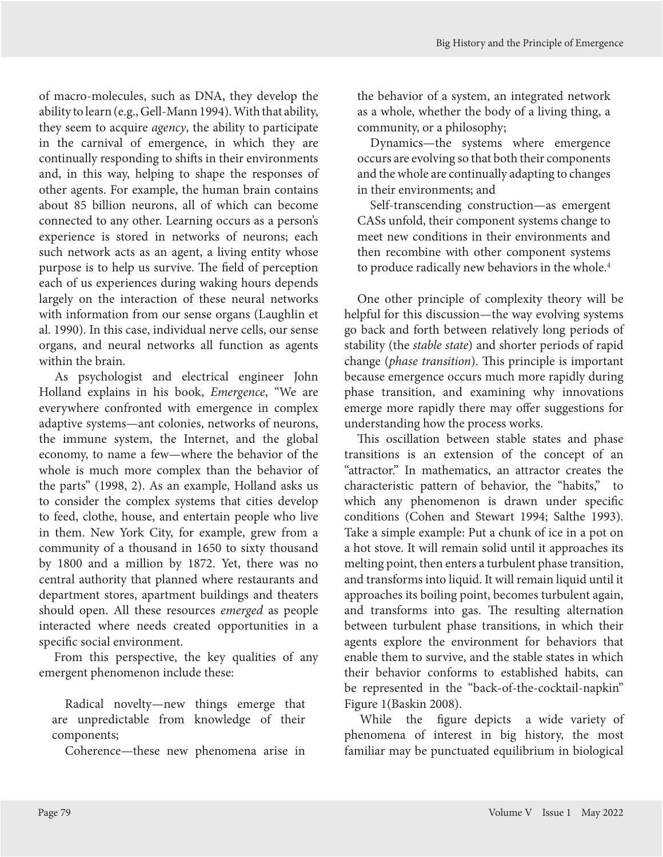<span id="page-2-0"></span>of macro-molecules, such as DNA, they develop the ability to learn (e.g., Gell-Mann 1994). With that ability, they seem to acquire *agency*, the ability to participate in the carnival of emergence, in which they are continually responding to shifts in their environments and, in this way, helping to shape the responses of other agents. For example, the human brain contains about 85 billion neurons, all of which can become connected to any other. Learning occurs as a person's experience is stored in networks of neurons; each such network acts as an agent, a living entity whose purpose is to help us survive. The field of perception each of us experiences during waking hours depends largely on the interaction of these neural networks with information from our sense organs (Laughlin et al. 1990). In this case, individual nerve cells, our sense organs, and neural networks all function as agents within the brain.

As psychologist and electrical engineer John Holland explains in his book, *Emergence*, "We are everywhere confronted with emergence in complex adaptive systems—ant colonies, networks of neurons, the immune system, the Internet, and the global economy, to name a few—where the behavior of the whole is much more complex than the behavior of the parts" (1998, 2). As an example, Holland asks us to consider the complex systems that cities develop to feed, clothe, house, and entertain people who live in them. New York City, for example, grew from a community of a thousand in 1650 to sixty thousand by 1800 and a million by 1872. Yet, there was no central authority that planned where restaurants and department stores, apartment buildings and theaters should open. All these resources *emerged* as people interacted where needs created opportunities in a specific social environment.

From this perspective, the key qualities of any emergent phenomenon include these:

Radical novelty—new things emerge that are unpredictable from knowledge of their components;

Coherence—these new phenomena arise in

the behavior of a system, an integrated network as a whole, whether the body of a living thing, a community, or a philosophy;

Dynamics—the systems where emergence occurs are evolving so that both their components and the whole are continually adapting to changes in their environments; and

Self-transcending construction—as emergent CASs unfold, their component systems change to meet new conditions in their environments and then recombine with other component systems to produce radically new behaviors in the whole.<sup>[4](#page-12-0)</sup>

One other principle of complexity theory will be helpful for this discussion—the way evolving systems go back and forth between relatively long periods of stability (the *stable state*) and shorter periods of rapid change (*phase transition*). This principle is important because emergence occurs much more rapidly during phase transition, and examining why innovations emerge more rapidly there may offer suggestions for understanding how the process works.

This oscillation between stable states and phase transitions is an extension of the concept of an "attractor." In mathematics, an attractor creates the characteristic pattern of behavior, the "habits," to which any phenomenon is drawn under specific conditions (Cohen and Stewart 1994; Salthe 1993). Take a simple example: Put a chunk of ice in a pot on a hot stove. It will remain solid until it approaches its melting point, then enters a turbulent phase transition, and transforms into liquid. It will remain liquid until it approaches its boiling point, becomes turbulent again, and transforms into gas. The resulting alternation between turbulent phase transitions, in which their agents explore the environment for behaviors that enable them to survive, and the stable states in which their behavior conforms to established habits, can be represented in the "back-of-the-cocktail-napkin" Figure 1(Baskin 2008).

While the figure depicts a wide variety of phenomena of interest in big history, the most familiar may be punctuated equilibrium in biological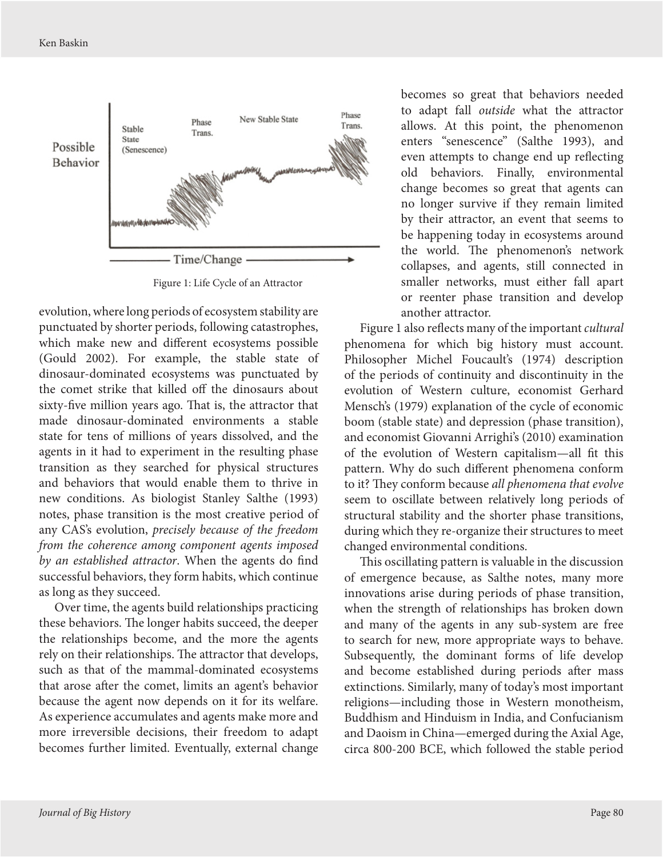

Figure 1: Life Cycle of an Attractor

evolution, where long periods of ecosystem stability are punctuated by shorter periods, following catastrophes, which make new and different ecosystems possible (Gould 2002). For example, the stable state of dinosaur-dominated ecosystems was punctuated by the comet strike that killed off the dinosaurs about sixty-five million years ago. That is, the attractor that made dinosaur-dominated environments a stable state for tens of millions of years dissolved, and the agents in it had to experiment in the resulting phase transition as they searched for physical structures and behaviors that would enable them to thrive in new conditions. As biologist Stanley Salthe (1993) notes, phase transition is the most creative period of any CAS's evolution, *precisely because of the freedom from the coherence among component agents imposed by an established attractor*. When the agents do find successful behaviors, they form habits, which continue as long as they succeed.

Over time, the agents build relationships practicing these behaviors. The longer habits succeed, the deeper the relationships become, and the more the agents rely on their relationships. The attractor that develops, such as that of the mammal-dominated ecosystems that arose after the comet, limits an agent's behavior because the agent now depends on it for its welfare. As experience accumulates and agents make more and more irreversible decisions, their freedom to adapt becomes further limited. Eventually, external change

becomes so great that behaviors needed to adapt fall *outside* what the attractor allows. At this point, the phenomenon enters "senescence" (Salthe 1993), and even attempts to change end up reflecting old behaviors. Finally, environmental change becomes so great that agents can no longer survive if they remain limited by their attractor, an event that seems to be happening today in ecosystems around the world. The phenomenon's network collapses, and agents, still connected in smaller networks, must either fall apart or reenter phase transition and develop another attractor.

Figure 1 also reflects many of the important *cultural* phenomena for which big history must account. Philosopher Michel Foucault's (1974) description of the periods of continuity and discontinuity in the evolution of Western culture, economist Gerhard Mensch's (1979) explanation of the cycle of economic boom (stable state) and depression (phase transition), and economist Giovanni Arrighi's (2010) examination of the evolution of Western capitalism—all fit this pattern. Why do such different phenomena conform to it? They conform because *all phenomena that evolve* seem to oscillate between relatively long periods of structural stability and the shorter phase transitions, during which they re-organize their structures to meet changed environmental conditions.

This oscillating pattern is valuable in the discussion of emergence because, as Salthe notes, many more innovations arise during periods of phase transition, when the strength of relationships has broken down and many of the agents in any sub-system are free to search for new, more appropriate ways to behave. Subsequently, the dominant forms of life develop and become established during periods after mass extinctions. Similarly, many of today's most important religions—including those in Western monotheism, Buddhism and Hinduism in India, and Confucianism and Daoism in China—emerged during the Axial Age, circa 800-200 BCE, which followed the stable period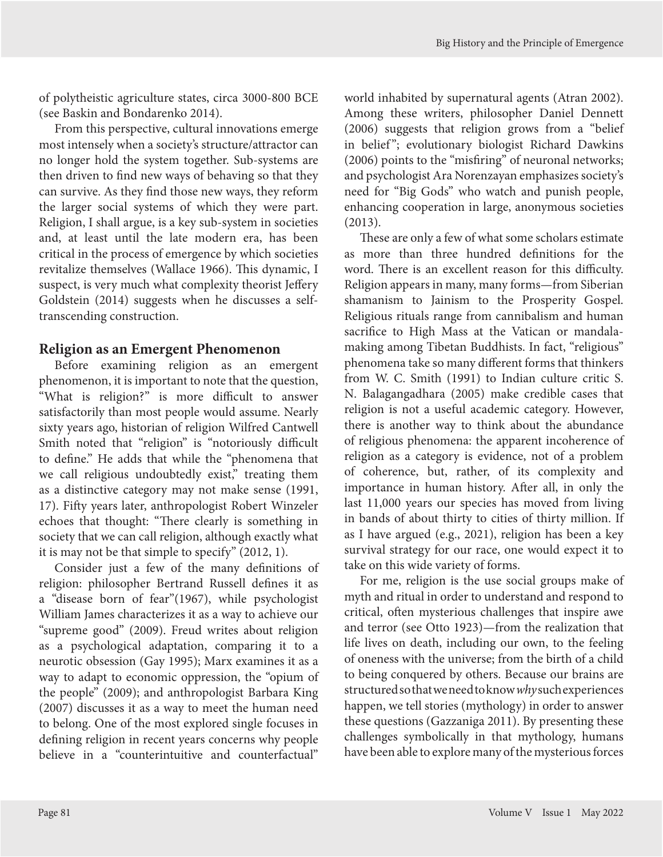of polytheistic agriculture states, circa 3000-800 BCE (see Baskin and Bondarenko 2014).

From this perspective, cultural innovations emerge most intensely when a society's structure/attractor can no longer hold the system together. Sub-systems are then driven to find new ways of behaving so that they can survive. As they find those new ways, they reform the larger social systems of which they were part. Religion, I shall argue, is a key sub-system in societies and, at least until the late modern era, has been critical in the process of emergence by which societies revitalize themselves (Wallace 1966). This dynamic, I suspect, is very much what complexity theorist Jeffery Goldstein (2014) suggests when he discusses a selftranscending construction.

## **Religion as an Emergent Phenomenon**

Before examining religion as an emergent phenomenon, it is important to note that the question, "What is religion?" is more difficult to answer satisfactorily than most people would assume. Nearly sixty years ago, historian of religion Wilfred Cantwell Smith noted that "religion" is "notoriously difficult to define." He adds that while the "phenomena that we call religious undoubtedly exist," treating them as a distinctive category may not make sense (1991, 17). Fifty years later, anthropologist Robert Winzeler echoes that thought: "There clearly is something in society that we can call religion, although exactly what it is may not be that simple to specify" (2012, 1).

Consider just a few of the many definitions of religion: philosopher Bertrand Russell defines it as a "disease born of fear"(1967), while psychologist William James characterizes it as a way to achieve our "supreme good" (2009). Freud writes about religion as a psychological adaptation, comparing it to a neurotic obsession (Gay 1995); Marx examines it as a way to adapt to economic oppression, the "opium of the people" (2009); and anthropologist Barbara King (2007) discusses it as a way to meet the human need to belong. One of the most explored single focuses in defining religion in recent years concerns why people believe in a "counterintuitive and counterfactual"

world inhabited by supernatural agents (Atran 2002). Among these writers, philosopher Daniel Dennett (2006) suggests that religion grows from a "belief in belief"; evolutionary biologist Richard Dawkins (2006) points to the "misfiring" of neuronal networks; and psychologist Ara Norenzayan emphasizes society's need for "Big Gods" who watch and punish people, enhancing cooperation in large, anonymous societies (2013).

These are only a few of what some scholars estimate as more than three hundred definitions for the word. There is an excellent reason for this difficulty. Religion appears in many, many forms—from Siberian shamanism to Jainism to the Prosperity Gospel. Religious rituals range from cannibalism and human sacrifice to High Mass at the Vatican or mandalamaking among Tibetan Buddhists. In fact, "religious" phenomena take so many different forms that thinkers from W. C. Smith (1991) to Indian culture critic S. N. Balagangadhara (2005) make credible cases that religion is not a useful academic category. However, there is another way to think about the abundance of religious phenomena: the apparent incoherence of religion as a category is evidence, not of a problem of coherence, but, rather, of its complexity and importance in human history. After all, in only the last 11,000 years our species has moved from living in bands of about thirty to cities of thirty million. If as I have argued (e.g., 2021), religion has been a key survival strategy for our race, one would expect it to take on this wide variety of forms.

For me, religion is the use social groups make of myth and ritual in order to understand and respond to critical, often mysterious challenges that inspire awe and terror (see Otto 1923)—from the realization that life lives on death, including our own, to the feeling of oneness with the universe; from the birth of a child to being conquered by others. Because our brains are structured so that we need to know *why* such experiences happen, we tell stories (mythology) in order to answer these questions (Gazzaniga 2011). By presenting these challenges symbolically in that mythology, humans have been able to explore many of the mysterious forces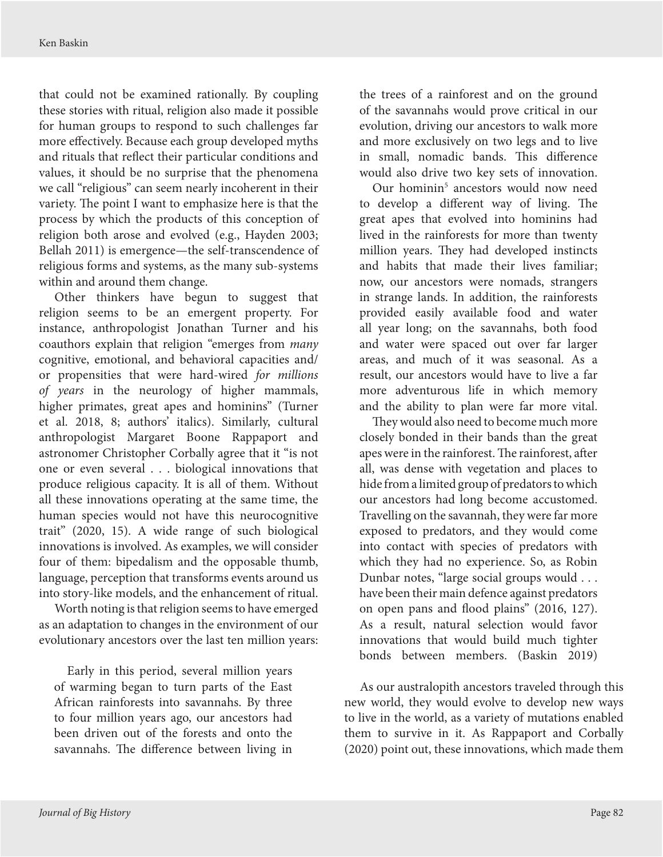<span id="page-5-0"></span>that could not be examined rationally. By coupling these stories with ritual, religion also made it possible for human groups to respond to such challenges far more effectively. Because each group developed myths and rituals that reflect their particular conditions and values, it should be no surprise that the phenomena we call "religious" can seem nearly incoherent in their variety. The point I want to emphasize here is that the process by which the products of this conception of religion both arose and evolved (e.g., Hayden 2003; Bellah 2011) is emergence—the self-transcendence of religious forms and systems, as the many sub-systems within and around them change.

Other thinkers have begun to suggest that religion seems to be an emergent property. For instance, anthropologist Jonathan Turner and his coauthors explain that religion "emerges from *many* cognitive, emotional, and behavioral capacities and/ or propensities that were hard-wired *for millions of years* in the neurology of higher mammals, higher primates, great apes and hominins" (Turner et al. 2018, 8; authors' italics). Similarly, cultural anthropologist Margaret Boone Rappaport and astronomer Christopher Corbally agree that it "is not one or even several . . . biological innovations that produce religious capacity. It is all of them. Without all these innovations operating at the same time, the human species would not have this neurocognitive trait" (2020, 15). A wide range of such biological innovations is involved. As examples, we will consider four of them: bipedalism and the opposable thumb, language, perception that transforms events around us into story-like models, and the enhancement of ritual.

Worth noting is that religion seems to have emerged as an adaptation to changes in the environment of our evolutionary ancestors over the last ten million years:

Early in this period, several million years of warming began to turn parts of the East African rainforests into savannahs. By three to four million years ago, our ancestors had been driven out of the forests and onto the savannahs. The difference between living in

the trees of a rainforest and on the ground of the savannahs would prove critical in our evolution, driving our ancestors to walk more and more exclusively on two legs and to live in small, nomadic bands. This difference would also drive two key sets of innovation.

Our hominin<sup>[5](#page-12-0)</sup> ancestors would now need to develop a different way of living. The great apes that evolved into hominins had lived in the rainforests for more than twenty million years. They had developed instincts and habits that made their lives familiar; now, our ancestors were nomads, strangers in strange lands. In addition, the rainforests provided easily available food and water all year long; on the savannahs, both food and water were spaced out over far larger areas, and much of it was seasonal. As a result, our ancestors would have to live a far more adventurous life in which memory and the ability to plan were far more vital.

They would also need to become much more closely bonded in their bands than the great apes were in the rainforest. The rainforest, after all, was dense with vegetation and places to hide from a limited group of predators to which our ancestors had long become accustomed. Travelling on the savannah, they were far more exposed to predators, and they would come into contact with species of predators with which they had no experience. So, as Robin Dunbar notes, "large social groups would . . . have been their main defence against predators on open pans and flood plains" (2016, 127). As a result, natural selection would favor innovations that would build much tighter bonds between members. (Baskin 2019)

As our australopith ancestors traveled through this new world, they would evolve to develop new ways to live in the world, as a variety of mutations enabled them to survive in it. As Rappaport and Corbally (2020) point out, these innovations, which made them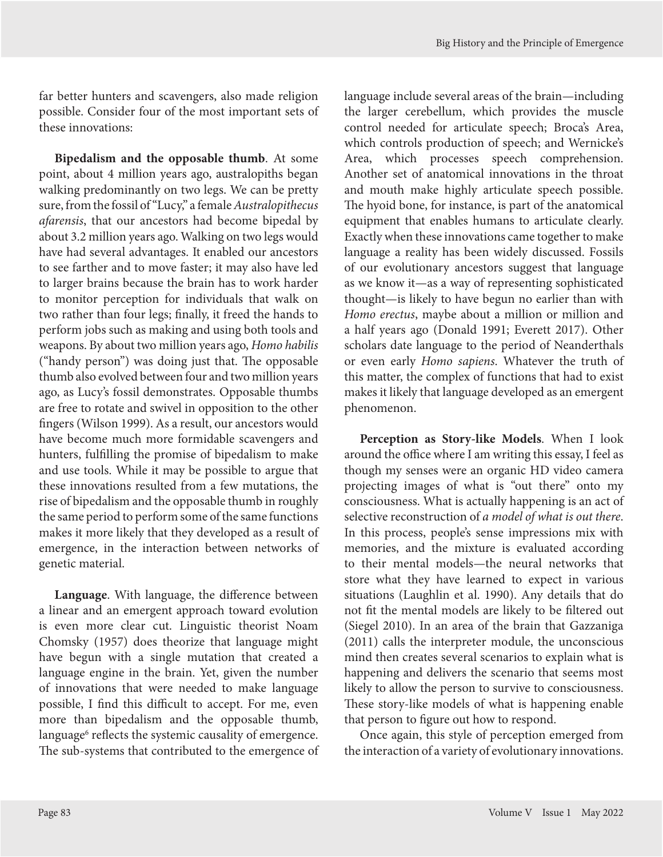<span id="page-6-0"></span>far better hunters and scavengers, also made religion possible. Consider four of the most important sets of these innovations:

**Bipedalism and the opposable thumb**. At some point, about 4 million years ago, australopiths began walking predominantly on two legs. We can be pretty sure, from the fossil of "Lucy," a female *Australopithecus afarensis*, that our ancestors had become bipedal by about 3.2 million years ago. Walking on two legs would have had several advantages. It enabled our ancestors to see farther and to move faster; it may also have led to larger brains because the brain has to work harder to monitor perception for individuals that walk on two rather than four legs; finally, it freed the hands to perform jobs such as making and using both tools and weapons. By about two million years ago, *Homo habilis* ("handy person") was doing just that. The opposable thumb also evolved between four and two million years ago, as Lucy's fossil demonstrates. Opposable thumbs are free to rotate and swivel in opposition to the other fingers (Wilson 1999). As a result, our ancestors would have become much more formidable scavengers and hunters, fulfilling the promise of bipedalism to make and use tools. While it may be possible to argue that these innovations resulted from a few mutations, the rise of bipedalism and the opposable thumb in roughly the same period to perform some of the same functions makes it more likely that they developed as a result of emergence, in the interaction between networks of genetic material.

**Language**. With language, the difference between a linear and an emergent approach toward evolution is even more clear cut. Linguistic theorist Noam Chomsky (1957) does theorize that language might have begun with a single mutation that created a language engine in the brain. Yet, given the number of innovations that were needed to make language possible, I find this difficult to accept. For me, even more than bipedalism and the opposable thumb, language<sup>[6](#page-12-0)</sup> reflects the systemic causality of emergence. The sub-systems that contributed to the emergence of language include several areas of the brain—including the larger cerebellum, which provides the muscle control needed for articulate speech; Broca's Area, which controls production of speech; and Wernicke's Area, which processes speech comprehension. Another set of anatomical innovations in the throat and mouth make highly articulate speech possible. The hyoid bone, for instance, is part of the anatomical equipment that enables humans to articulate clearly. Exactly when these innovations came together to make language a reality has been widely discussed. Fossils of our evolutionary ancestors suggest that language as we know it—as a way of representing sophisticated thought—is likely to have begun no earlier than with *Homo erectus*, maybe about a million or million and a half years ago (Donald 1991; Everett 2017). Other scholars date language to the period of Neanderthals or even early *Homo sapiens*. Whatever the truth of this matter, the complex of functions that had to exist makes it likely that language developed as an emergent phenomenon.

**Perception as Story-like Models**. When I look around the office where I am writing this essay, I feel as though my senses were an organic HD video camera projecting images of what is "out there" onto my consciousness. What is actually happening is an act of selective reconstruction of *a model of what is out there*. In this process, people's sense impressions mix with memories, and the mixture is evaluated according to their mental models—the neural networks that store what they have learned to expect in various situations (Laughlin et al. 1990). Any details that do not fit the mental models are likely to be filtered out (Siegel 2010). In an area of the brain that Gazzaniga (2011) calls the interpreter module, the unconscious mind then creates several scenarios to explain what is happening and delivers the scenario that seems most likely to allow the person to survive to consciousness. These story-like models of what is happening enable that person to figure out how to respond.

Once again, this style of perception emerged from the interaction of a variety of evolutionary innovations.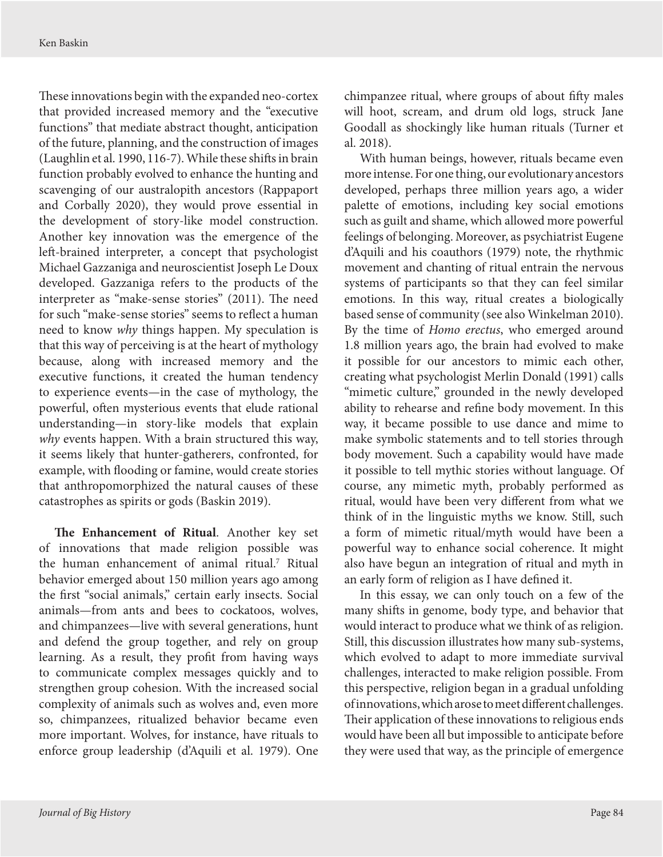<span id="page-7-0"></span>These innovations begin with the expanded neo-cortex that provided increased memory and the "executive functions" that mediate abstract thought, anticipation of the future, planning, and the construction of images (Laughlin et al. 1990, 116-7). While these shifts in brain function probably evolved to enhance the hunting and scavenging of our australopith ancestors (Rappaport and Corbally 2020), they would prove essential in the development of story-like model construction. Another key innovation was the emergence of the left-brained interpreter, a concept that psychologist Michael Gazzaniga and neuroscientist Joseph Le Doux developed. Gazzaniga refers to the products of the interpreter as "make-sense stories" (2011). The need for such "make-sense stories" seems to reflect a human need to know *why* things happen. My speculation is that this way of perceiving is at the heart of mythology because, along with increased memory and the executive functions, it created the human tendency to experience events—in the case of mythology, the powerful, often mysterious events that elude rational understanding—in story-like models that explain *why* events happen. With a brain structured this way, it seems likely that hunter-gatherers, confronted, for example, with flooding or famine, would create stories that anthropomorphized the natural causes of these catastrophes as spirits or gods (Baskin 2019).

**The Enhancement of Ritual**. Another key set of innovations that made religion possible was the human enhancement of animal ritual.[7](#page-12-0) Ritual behavior emerged about 150 million years ago among the first "social animals," certain early insects. Social animals—from ants and bees to cockatoos, wolves, and chimpanzees—live with several generations, hunt and defend the group together, and rely on group learning. As a result, they profit from having ways to communicate complex messages quickly and to strengthen group cohesion. With the increased social complexity of animals such as wolves and, even more so, chimpanzees, ritualized behavior became even more important. Wolves, for instance, have rituals to enforce group leadership (d'Aquili et al. 1979). One

chimpanzee ritual, where groups of about fifty males will hoot, scream, and drum old logs, struck Jane Goodall as shockingly like human rituals (Turner et al. 2018).

With human beings, however, rituals became even more intense. For one thing, our evolutionary ancestors developed, perhaps three million years ago, a wider palette of emotions, including key social emotions such as guilt and shame, which allowed more powerful feelings of belonging. Moreover, as psychiatrist Eugene d'Aquili and his coauthors (1979) note, the rhythmic movement and chanting of ritual entrain the nervous systems of participants so that they can feel similar emotions. In this way, ritual creates a biologically based sense of community (see also Winkelman 2010). By the time of *Homo erectus*, who emerged around 1.8 million years ago, the brain had evolved to make it possible for our ancestors to mimic each other, creating what psychologist Merlin Donald (1991) calls "mimetic culture," grounded in the newly developed ability to rehearse and refine body movement. In this way, it became possible to use dance and mime to make symbolic statements and to tell stories through body movement. Such a capability would have made it possible to tell mythic stories without language. Of course, any mimetic myth, probably performed as ritual, would have been very different from what we think of in the linguistic myths we know. Still, such a form of mimetic ritual/myth would have been a powerful way to enhance social coherence. It might also have begun an integration of ritual and myth in an early form of religion as I have defined it.

In this essay, we can only touch on a few of the many shifts in genome, body type, and behavior that would interact to produce what we think of as religion. Still, this discussion illustrates how many sub-systems, which evolved to adapt to more immediate survival challenges, interacted to make religion possible. From this perspective, religion began in a gradual unfolding of innovations, which arose to meet different challenges. Their application of these innovations to religious ends would have been all but impossible to anticipate before they were used that way, as the principle of emergence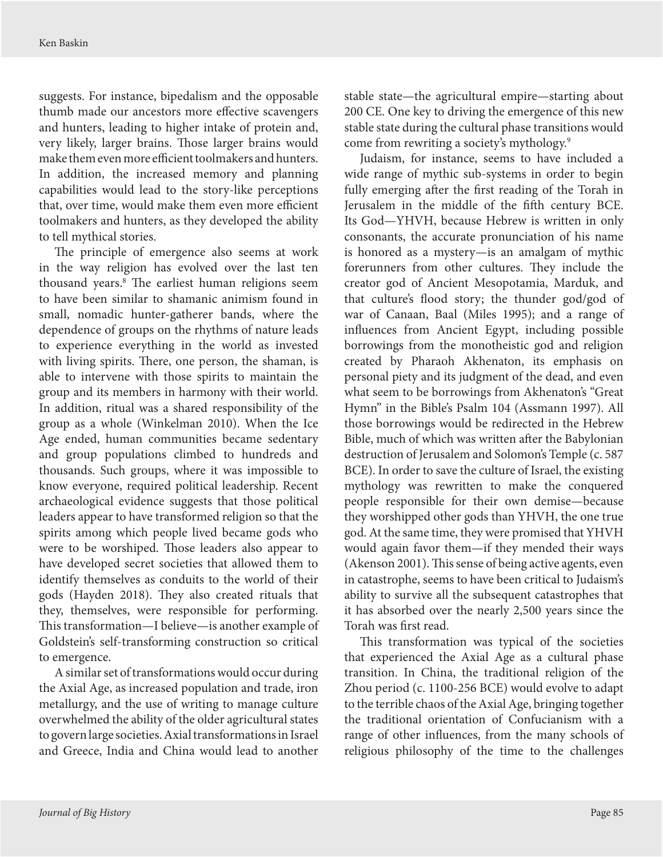<span id="page-8-0"></span>suggests. For instance, bipedalism and the opposable thumb made our ancestors more effective scavengers and hunters, leading to higher intake of protein and, very likely, larger brains. Those larger brains would make them even more efficient toolmakers and hunters. In addition, the increased memory and planning capabilities would lead to the story-like perceptions that, over time, would make them even more efficient toolmakers and hunters, as they developed the ability to tell mythical stories.

The principle of emergence also seems at work in the way religion has evolved over the last ten thousand years[.8](#page-12-0) The earliest human religions seem to have been similar to shamanic animism found in small, nomadic hunter-gatherer bands, where the dependence of groups on the rhythms of nature leads to experience everything in the world as invested with living spirits. There, one person, the shaman, is able to intervene with those spirits to maintain the group and its members in harmony with their world. In addition, ritual was a shared responsibility of the group as a whole (Winkelman 2010). When the Ice Age ended, human communities became sedentary and group populations climbed to hundreds and thousands. Such groups, where it was impossible to know everyone, required political leadership. Recent archaeological evidence suggests that those political leaders appear to have transformed religion so that the spirits among which people lived became gods who were to be worshiped. Those leaders also appear to have developed secret societies that allowed them to identify themselves as conduits to the world of their gods (Hayden 2018). They also created rituals that they, themselves, were responsible for performing. This transformation—I believe—is another example of Goldstein's self-transforming construction so critical to emergence.

A similar set of transformations would occur during the Axial Age, as increased population and trade, iron metallurgy, and the use of writing to manage culture overwhelmed the ability of the older agricultural states to govern large societies. Axial transformations in Israel and Greece, India and China would lead to another stable state—the agricultural empire—starting about 200 CE. One key to driving the emergence of this new stable state during the cultural phase transitions would come from rewriting a society's mythology.<sup>[9](#page-12-0)</sup>

Judaism, for instance, seems to have included a wide range of mythic sub-systems in order to begin fully emerging after the first reading of the Torah in Jerusalem in the middle of the fifth century BCE. Its God—YHVH, because Hebrew is written in only consonants, the accurate pronunciation of his name is honored as a mystery—is an amalgam of mythic forerunners from other cultures. They include the creator god of Ancient Mesopotamia, Marduk, and that culture's flood story; the thunder god/god of war of Canaan, Baal (Miles 1995); and a range of influences from Ancient Egypt, including possible borrowings from the monotheistic god and religion created by Pharaoh Akhenaton, its emphasis on personal piety and its judgment of the dead, and even what seem to be borrowings from Akhenaton's "Great Hymn" in the Bible's Psalm 104 (Assmann 1997). All those borrowings would be redirected in the Hebrew Bible, much of which was written after the Babylonian destruction of Jerusalem and Solomon's Temple (c. 587 BCE). In order to save the culture of Israel, the existing mythology was rewritten to make the conquered people responsible for their own demise—because they worshipped other gods than YHVH, the one true god. At the same time, they were promised that YHVH would again favor them—if they mended their ways (Akenson 2001). This sense of being active agents, even in catastrophe, seems to have been critical to Judaism's ability to survive all the subsequent catastrophes that it has absorbed over the nearly 2,500 years since the Torah was first read.

This transformation was typical of the societies that experienced the Axial Age as a cultural phase transition. In China, the traditional religion of the Zhou period (c. 1100-256 BCE) would evolve to adapt to the terrible chaos of the Axial Age, bringing together the traditional orientation of Confucianism with a range of other influences, from the many schools of religious philosophy of the time to the challenges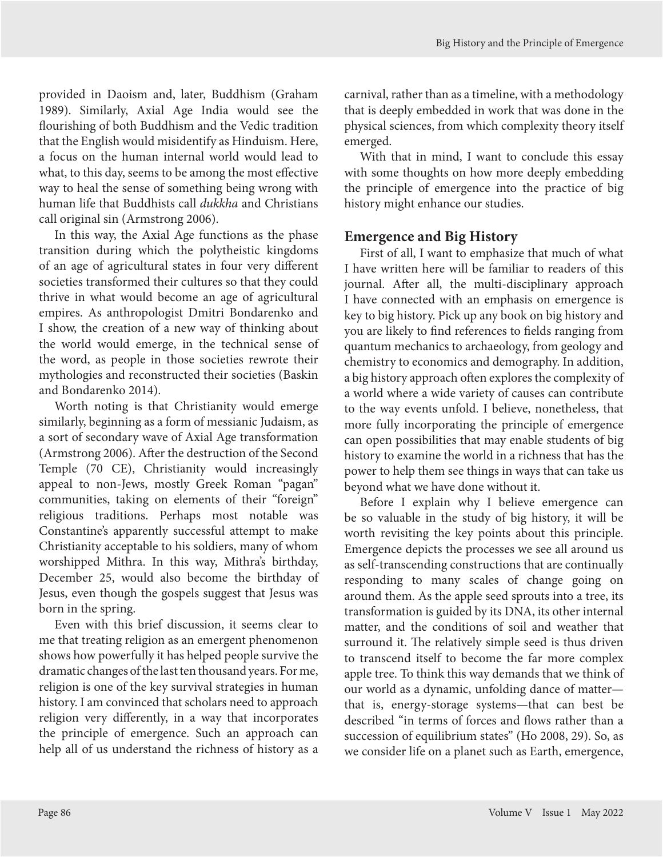provided in Daoism and, later, Buddhism (Graham 1989). Similarly, Axial Age India would see the flourishing of both Buddhism and the Vedic tradition that the English would misidentify as Hinduism. Here, a focus on the human internal world would lead to what, to this day, seems to be among the most effective way to heal the sense of something being wrong with human life that Buddhists call *dukkha* and Christians call original sin (Armstrong 2006).

In this way, the Axial Age functions as the phase transition during which the polytheistic kingdoms of an age of agricultural states in four very different societies transformed their cultures so that they could thrive in what would become an age of agricultural empires. As anthropologist Dmitri Bondarenko and I show, the creation of a new way of thinking about the world would emerge, in the technical sense of the word, as people in those societies rewrote their mythologies and reconstructed their societies (Baskin and Bondarenko 2014).

Worth noting is that Christianity would emerge similarly, beginning as a form of messianic Judaism, as a sort of secondary wave of Axial Age transformation (Armstrong 2006). After the destruction of the Second Temple (70 CE), Christianity would increasingly appeal to non-Jews, mostly Greek Roman "pagan" communities, taking on elements of their "foreign" religious traditions. Perhaps most notable was Constantine's apparently successful attempt to make Christianity acceptable to his soldiers, many of whom worshipped Mithra. In this way, Mithra's birthday, December 25, would also become the birthday of Jesus, even though the gospels suggest that Jesus was born in the spring.

Even with this brief discussion, it seems clear to me that treating religion as an emergent phenomenon shows how powerfully it has helped people survive the dramatic changes of the last ten thousand years. For me, religion is one of the key survival strategies in human history. I am convinced that scholars need to approach religion very differently, in a way that incorporates the principle of emergence. Such an approach can help all of us understand the richness of history as a

carnival, rather than as a timeline, with a methodology that is deeply embedded in work that was done in the physical sciences, from which complexity theory itself emerged.

With that in mind, I want to conclude this essay with some thoughts on how more deeply embedding the principle of emergence into the practice of big history might enhance our studies.

## **Emergence and Big History**

First of all, I want to emphasize that much of what I have written here will be familiar to readers of this journal. After all, the multi-disciplinary approach I have connected with an emphasis on emergence is key to big history. Pick up any book on big history and you are likely to find references to fields ranging from quantum mechanics to archaeology, from geology and chemistry to economics and demography. In addition, a big history approach often explores the complexity of a world where a wide variety of causes can contribute to the way events unfold. I believe, nonetheless, that more fully incorporating the principle of emergence can open possibilities that may enable students of big history to examine the world in a richness that has the power to help them see things in ways that can take us beyond what we have done without it.

Before I explain why I believe emergence can be so valuable in the study of big history, it will be worth revisiting the key points about this principle. Emergence depicts the processes we see all around us as self-transcending constructions that are continually responding to many scales of change going on around them. As the apple seed sprouts into a tree, its transformation is guided by its DNA, its other internal matter, and the conditions of soil and weather that surround it. The relatively simple seed is thus driven to transcend itself to become the far more complex apple tree. To think this way demands that we think of our world as a dynamic, unfolding dance of matter that is, energy-storage systems—that can best be described "in terms of forces and flows rather than a succession of equilibrium states" (Ho 2008, 29). So, as we consider life on a planet such as Earth, emergence,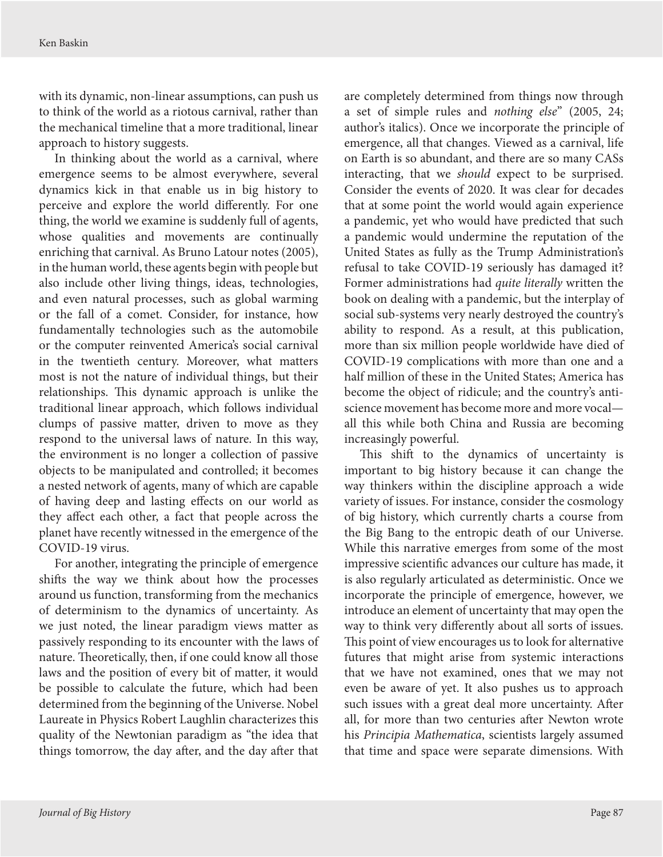with its dynamic, non-linear assumptions, can push us to think of the world as a riotous carnival, rather than the mechanical timeline that a more traditional, linear approach to history suggests.

In thinking about the world as a carnival, where emergence seems to be almost everywhere, several dynamics kick in that enable us in big history to perceive and explore the world differently. For one thing, the world we examine is suddenly full of agents, whose qualities and movements are continually enriching that carnival. As Bruno Latour notes (2005), in the human world, these agents begin with people but also include other living things, ideas, technologies, and even natural processes, such as global warming or the fall of a comet. Consider, for instance, how fundamentally technologies such as the automobile or the computer reinvented America's social carnival in the twentieth century. Moreover, what matters most is not the nature of individual things, but their relationships. This dynamic approach is unlike the traditional linear approach, which follows individual clumps of passive matter, driven to move as they respond to the universal laws of nature. In this way, the environment is no longer a collection of passive objects to be manipulated and controlled; it becomes a nested network of agents, many of which are capable of having deep and lasting effects on our world as they affect each other, a fact that people across the planet have recently witnessed in the emergence of the COVID-19 virus.

For another, integrating the principle of emergence shifts the way we think about how the processes around us function, transforming from the mechanics of determinism to the dynamics of uncertainty. As we just noted, the linear paradigm views matter as passively responding to its encounter with the laws of nature. Theoretically, then, if one could know all those laws and the position of every bit of matter, it would be possible to calculate the future, which had been determined from the beginning of the Universe. Nobel Laureate in Physics Robert Laughlin characterizes this quality of the Newtonian paradigm as "the idea that things tomorrow, the day after, and the day after that

are completely determined from things now through a set of simple rules and *nothing else*" (2005, 24; author's italics). Once we incorporate the principle of emergence, all that changes. Viewed as a carnival, life on Earth is so abundant, and there are so many CASs interacting, that we *should* expect to be surprised. Consider the events of 2020. It was clear for decades that at some point the world would again experience a pandemic, yet who would have predicted that such a pandemic would undermine the reputation of the United States as fully as the Trump Administration's refusal to take COVID-19 seriously has damaged it? Former administrations had *quite literally* written the book on dealing with a pandemic, but the interplay of social sub-systems very nearly destroyed the country's ability to respond. As a result, at this publication, more than six million people worldwide have died of COVID-19 complications with more than one and a half million of these in the United States; America has become the object of ridicule; and the country's antiscience movement has become more and more vocal all this while both China and Russia are becoming increasingly powerful.

This shift to the dynamics of uncertainty is important to big history because it can change the way thinkers within the discipline approach a wide variety of issues. For instance, consider the cosmology of big history, which currently charts a course from the Big Bang to the entropic death of our Universe. While this narrative emerges from some of the most impressive scientific advances our culture has made, it is also regularly articulated as deterministic. Once we incorporate the principle of emergence, however, we introduce an element of uncertainty that may open the way to think very differently about all sorts of issues. This point of view encourages us to look for alternative futures that might arise from systemic interactions that we have not examined, ones that we may not even be aware of yet. It also pushes us to approach such issues with a great deal more uncertainty. After all, for more than two centuries after Newton wrote his *Principia Mathematica*, scientists largely assumed that time and space were separate dimensions. With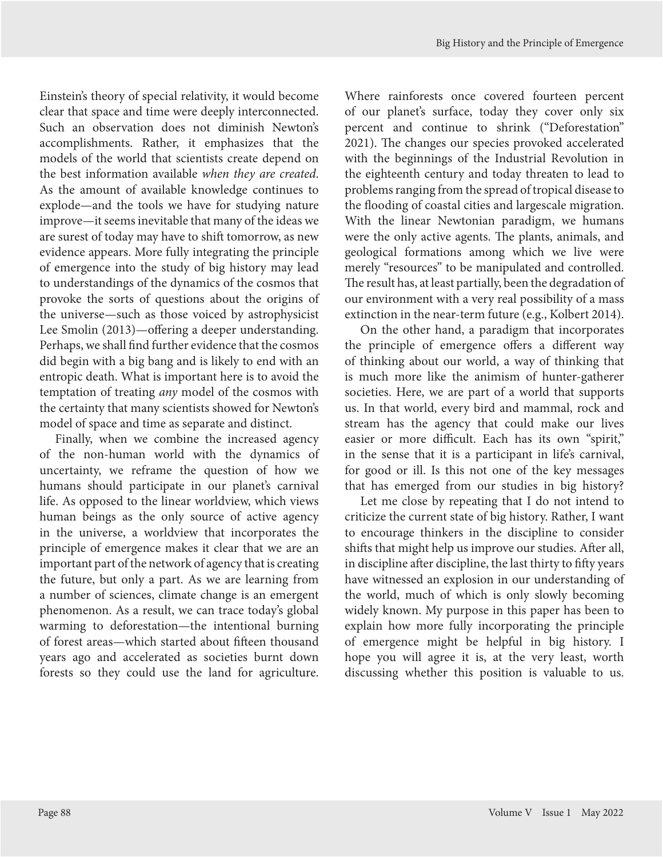Einstein's theory of special relativity, it would become clear that space and time were deeply interconnected. Such an observation does not diminish Newton's accomplishments. Rather, it emphasizes that the models of the world that scientists create depend on the best information available *when they are created*. As the amount of available knowledge continues to explode—and the tools we have for studying nature improve—it seems inevitable that many of the ideas we are surest of today may have to shift tomorrow, as new evidence appears. More fully integrating the principle of emergence into the study of big history may lead to understandings of the dynamics of the cosmos that provoke the sorts of questions about the origins of the universe—such as those voiced by astrophysicist Lee Smolin (2013)—offering a deeper understanding. Perhaps, we shall find further evidence that the cosmos did begin with a big bang and is likely to end with an entropic death. What is important here is to avoid the temptation of treating *any* model of the cosmos with the certainty that many scientists showed for Newton's model of space and time as separate and distinct.

Finally, when we combine the increased agency of the non-human world with the dynamics of uncertainty, we reframe the question of how we humans should participate in our planet's carnival life. As opposed to the linear worldview, which views human beings as the only source of active agency in the universe, a worldview that incorporates the principle of emergence makes it clear that we are an important part of the network of agency that is creating the future, but only a part. As we are learning from a number of sciences, climate change is an emergent phenomenon. As a result, we can trace today's global warming to deforestation—the intentional burning of forest areas—which started about fifteen thousand years ago and accelerated as societies burnt down forests so they could use the land for agriculture.

Where rainforests once covered fourteen percent of our planet's surface, today they cover only six percent and continue to shrink ("Deforestation" 2021). The changes our species provoked accelerated with the beginnings of the Industrial Revolution in the eighteenth century and today threaten to lead to problems ranging from the spread of tropical disease to the flooding of coastal cities and largescale migration. With the linear Newtonian paradigm, we humans were the only active agents. The plants, animals, and geological formations among which we live were merely "resources" to be manipulated and controlled. The result has, at least partially, been the degradation of our environment with a very real possibility of a mass extinction in the near-term future (e.g., Kolbert 2014).

On the other hand, a paradigm that incorporates the principle of emergence offers a different way of thinking about our world, a way of thinking that is much more like the animism of hunter-gatherer societies. Here, we are part of a world that supports us. In that world, every bird and mammal, rock and stream has the agency that could make our lives easier or more difficult. Each has its own "spirit," in the sense that it is a participant in life's carnival, for good or ill. Is this not one of the key messages that has emerged from our studies in big history?

Let me close by repeating that I do not intend to criticize the current state of big history. Rather, I want to encourage thinkers in the discipline to consider shifts that might help us improve our studies. After all, in discipline after discipline, the last thirty to fifty years have witnessed an explosion in our understanding of the world, much of which is only slowly becoming widely known. My purpose in this paper has been to explain how more fully incorporating the principle of emergence might be helpful in big history. I hope you will agree it is, at the very least, worth discussing whether this position is valuable to us.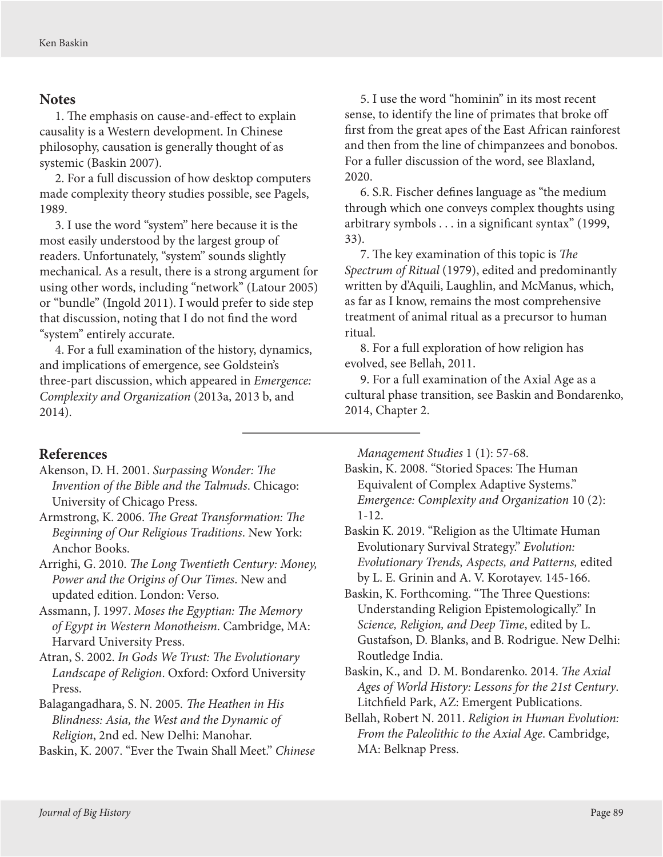#### <span id="page-12-0"></span>**Notes**

[1.](#page-0-0) The emphasis on cause-and-effect to explain causality is a Western development. In Chinese philosophy, causation is generally thought of as systemic (Baskin 2007).

[2.](#page-1-0) For a full discussion of how desktop computers made complexity theory studies possible, see Pagels, 1989.

[3.](#page-1-0) I use the word "system" here because it is the most easily understood by the largest group of readers. Unfortunately, "system" sounds slightly mechanical. As a result, there is a strong argument for using other words, including "network" (Latour 2005) or "bundle" (Ingold 2011). I would prefer to side step that discussion, noting that I do not find the word "system" entirely accurate.

[4.](#page-2-0) For a full examination of the history, dynamics, and implications of emergence, see Goldstein's three-part discussion, which appeared in *Emergence: Complexity and Organization* (2013a, 2013 b, and 2014).

[5.](#page-5-0) I use the word "hominin" in its most recent sense, to identify the line of primates that broke off first from the great apes of the East African rainforest and then from the line of chimpanzees and bonobos. For a fuller discussion of the word, see Blaxland, 2020.

[6.](#page-6-0) S.R. Fischer defines language as "the medium through which one conveys complex thoughts using arbitrary symbols . . . in a significant syntax" (1999, 33).

[7.](#page-7-0) The key examination of this topic is *The Spectrum of Ritual* (1979), edited and predominantly written by d'Aquili, Laughlin, and McManus, which, as far as I know, remains the most comprehensive treatment of animal ritual as a precursor to human ritual.

[8.](#page-8-0) For a full exploration of how religion has evolved, see Bellah, 2011.

[9.](#page-8-0) For a full examination of the Axial Age as a cultural phase transition, see Baskin and Bondarenko, 2014, Chapter 2.

#### **References**

- Akenson, D. H. 2001. *Surpassing Wonder: The Invention of the Bible and the Talmuds*. Chicago: University of Chicago Press.
- Armstrong, K. 2006. *The Great Transformation: The Beginning of Our Religious Traditions*. New York: Anchor Books.
- Arrighi, G. 2010. *The Long Twentieth Century: Money, Power and the Origins of Our Times*. New and updated edition. London: Verso.
- Assmann, J. 1997. *Moses the Egyptian: The Memory of Egypt in Western Monotheism*. Cambridge, MA: Harvard University Press.
- Atran, S. 2002. *In Gods We Trust: The Evolutionary Landscape of Religion*. Oxford: Oxford University Press.
- Balagangadhara, S. N. 2005*. The Heathen in His Blindness: Asia, the West and the Dynamic of Religion*, 2nd ed. New Delhi: Manohar.

Baskin, K. 2007. "Ever the Twain Shall Meet." *Chinese* 

*Management Studies* 1 (1): 57-68.

- Baskin, K. 2008. "Storied Spaces: The Human Equivalent of Complex Adaptive Systems." *Emergence: Complexity and Organization* 10 (2): 1-12.
- Baskin K. 2019. "Religion as the Ultimate Human Evolutionary Survival Strategy." *Evolution: Evolutionary Trends, Aspects, and Patterns,* edited by L. E. Grinin and A. V. Korotayev. 145-166.
- Baskin, K. Forthcoming. "The Three Questions: Understanding Religion Epistemologically." In *Science, Religion, and Deep Time*, edited by L. Gustafson, D. Blanks, and B. Rodrigue. New Delhi: Routledge India.
- Baskin, K., and D. M. Bondarenko. 2014. *The Axial Ages of World History: Lessons for the 21st Century*. Litchfield Park, AZ: Emergent Publications.
- Bellah, Robert N. 2011. *Religion in Human Evolution: From the Paleolithic to the Axial Age*. Cambridge, MA: Belknap Press.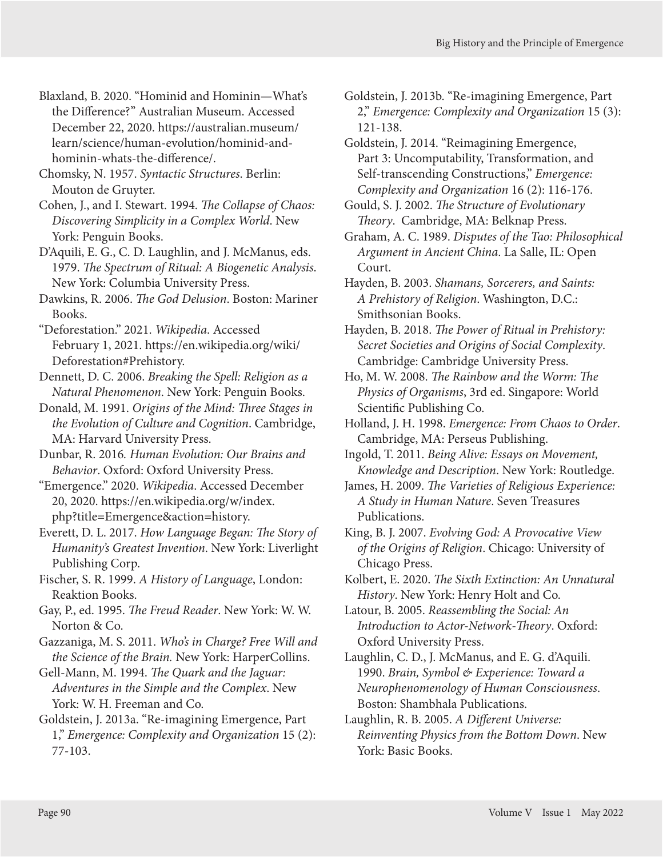Blaxland, B. 2020. "Hominid and Hominin—What's the Difference?" Australian Museum. Accessed December 22, 2020. [https://australian.museum/](https://australian.museum/learn/science/human-evolution/hominid-and-hominin-whats-the-difference/) [learn/science/human-evolution/hominid-and](https://australian.museum/learn/science/human-evolution/hominid-and-hominin-whats-the-difference/)[hominin-whats-the-difference/.](https://australian.museum/learn/science/human-evolution/hominid-and-hominin-whats-the-difference/)

Chomsky, N. 1957. *Syntactic Structures*. Berlin: Mouton de Gruyter.

Cohen, J., and I. Stewart. 1994. *The Collapse of Chaos: Discovering Simplicity in a Complex World*. New York: Penguin Books.

D'Aquili, E. G., C. D. Laughlin, and J. McManus, eds. 1979. *The Spectrum of Ritual: A Biogenetic Analysis*. New York: Columbia University Press.

Dawkins, R. 2006. *The God Delusion*. Boston: Mariner Books.

"Deforestation." 2021. *Wikipedia*. Accessed February 1, 2021. https://en.wikipedia.org/wiki/ Deforestation#Prehistory.

Dennett, D. C. 2006. *Breaking the Spell: Religion as a Natural Phenomenon*. New York: Penguin Books.

Donald, M. 1991. *Origins of the Mind: Three Stages in the Evolution of Culture and Cognition*. Cambridge, MA: Harvard University Press.

Dunbar, R. 2016*. Human Evolution: Our Brains and Behavior*. Oxford: Oxford University Press.

"Emergence." 2020. *Wikipedia*. Accessed December 20, 2020. [https://en.wikipedia.org/w/index.](https://en.wikipedia.org/w/index.php?title=Emergence&action=history) [php?title=Emergence&action=history.](https://en.wikipedia.org/w/index.php?title=Emergence&action=history)

Everett, D. L. 2017. *How Language Began: The Story of Humanity's Greatest Invention*. New York: Liverlight Publishing Corp.

Fischer, S. R. 1999. *A History of Language*, London: Reaktion Books.

Gay, P., ed. 1995. *The Freud Reader*. New York: W. W. Norton & Co.

Gazzaniga, M. S. 2011. *Who's in Charge? Free Will and the Science of the Brain.* New York: HarperCollins.

Gell-Mann, M. 1994. *The Quark and the Jaguar: Adventures in the Simple and the Complex*. New York: W. H. Freeman and Co.

Goldstein, J. 2013a. "Re-imagining Emergence, Part 1," *Emergence: Complexity and Organization* 15 (2): 77-103.

Goldstein, J. 2013b. "Re-imagining Emergence, Part 2," *Emergence: Complexity and Organization* 15 (3): 121-138.

Goldstein, J. 2014. "Reimagining Emergence, Part 3: Uncomputability, Transformation, and Self-transcending Constructions," *Emergence: Complexity and Organization* 16 (2): 116-176.

Gould, S. J. 2002. *The Structure of Evolutionary Theory*. Cambridge, MA: Belknap Press.

Graham, A. C. 1989. *Disputes of the Tao: Philosophical Argument in Ancient China*. La Salle, IL: Open Court.

Hayden, B. 2003. *Shamans, Sorcerers, and Saints: A Prehistory of Religion*. Washington, D.C.: Smithsonian Books.

Hayden, B. 2018. *The Power of Ritual in Prehistory: Secret Societies and Origins of Social Complexity*. Cambridge: Cambridge University Press.

Ho, M. W. 2008. *The Rainbow and the Worm: The Physics of Organisms*, 3rd ed. Singapore: World Scientific Publishing Co.

Holland, J. H. 1998. *Emergence: From Chaos to Order*. Cambridge, MA: Perseus Publishing.

Ingold, T. 2011. *Being Alive: Essays on Movement, Knowledge and Description*. New York: Routledge.

James, H. 2009. *The Varieties of Religious Experience: A Study in Human Nature*. Seven Treasures Publications.

King, B. J. 2007. *Evolving God: A Provocative View of the Origins of Religion*. Chicago: University of Chicago Press.

Kolbert, E. 2020. *The Sixth Extinction: An Unnatural History*. New York: Henry Holt and Co.

Latour, B. 2005. *Reassembling the Social: An Introduction to Actor-Network-Theory*. Oxford: Oxford University Press.

Laughlin, C. D., J. McManus, and E. G. d'Aquili. 1990. *Brain, Symbol & Experience: Toward a Neurophenomenology of Human Consciousness*. Boston: Shambhala Publications.

Laughlin, R. B. 2005. *A Different Universe: Reinventing Physics from the Bottom Down*. New York: Basic Books.